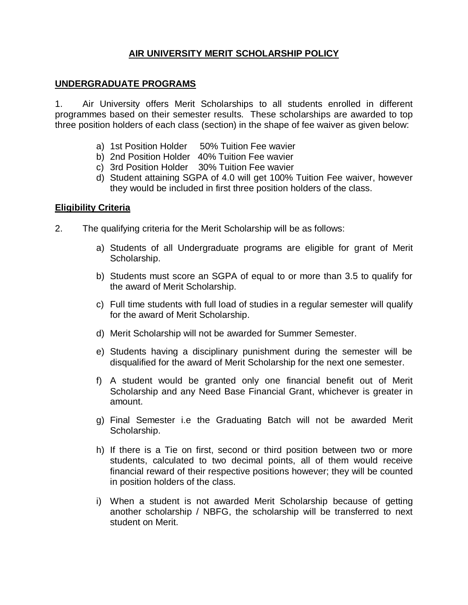# **AIR UNIVERSITY MERIT SCHOLARSHIP POLICY**

#### **UNDERGRADUATE PROGRAMS**

1. Air University offers Merit Scholarships to all students enrolled in different programmes based on their semester results. These scholarships are awarded to top three position holders of each class (section) in the shape of fee waiver as given below:

- a) 1st Position Holder 50% Tuition Fee wavier
- b) 2nd Position Holder 40% Tuition Fee wavier
- c) 3rd Position Holder 30% Tuition Fee wavier
- d) Student attaining SGPA of 4.0 will get 100% Tuition Fee waiver, however they would be included in first three position holders of the class.

#### **Eligibility Criteria**

- 2. The qualifying criteria for the Merit Scholarship will be as follows:
	- a) Students of all Undergraduate programs are eligible for grant of Merit Scholarship.
	- b) Students must score an SGPA of equal to or more than 3.5 to qualify for the award of Merit Scholarship.
	- c) Full time students with full load of studies in a regular semester will qualify for the award of Merit Scholarship.
	- d) Merit Scholarship will not be awarded for Summer Semester.
	- e) Students having a disciplinary punishment during the semester will be disqualified for the award of Merit Scholarship for the next one semester.
	- f) A student would be granted only one financial benefit out of Merit Scholarship and any Need Base Financial Grant, whichever is greater in amount.
	- g) Final Semester i.e the Graduating Batch will not be awarded Merit Scholarship.
	- h) If there is a Tie on first, second or third position between two or more students, calculated to two decimal points, all of them would receive financial reward of their respective positions however; they will be counted in position holders of the class.
	- i) When a student is not awarded Merit Scholarship because of getting another scholarship / NBFG, the scholarship will be transferred to next student on Merit.